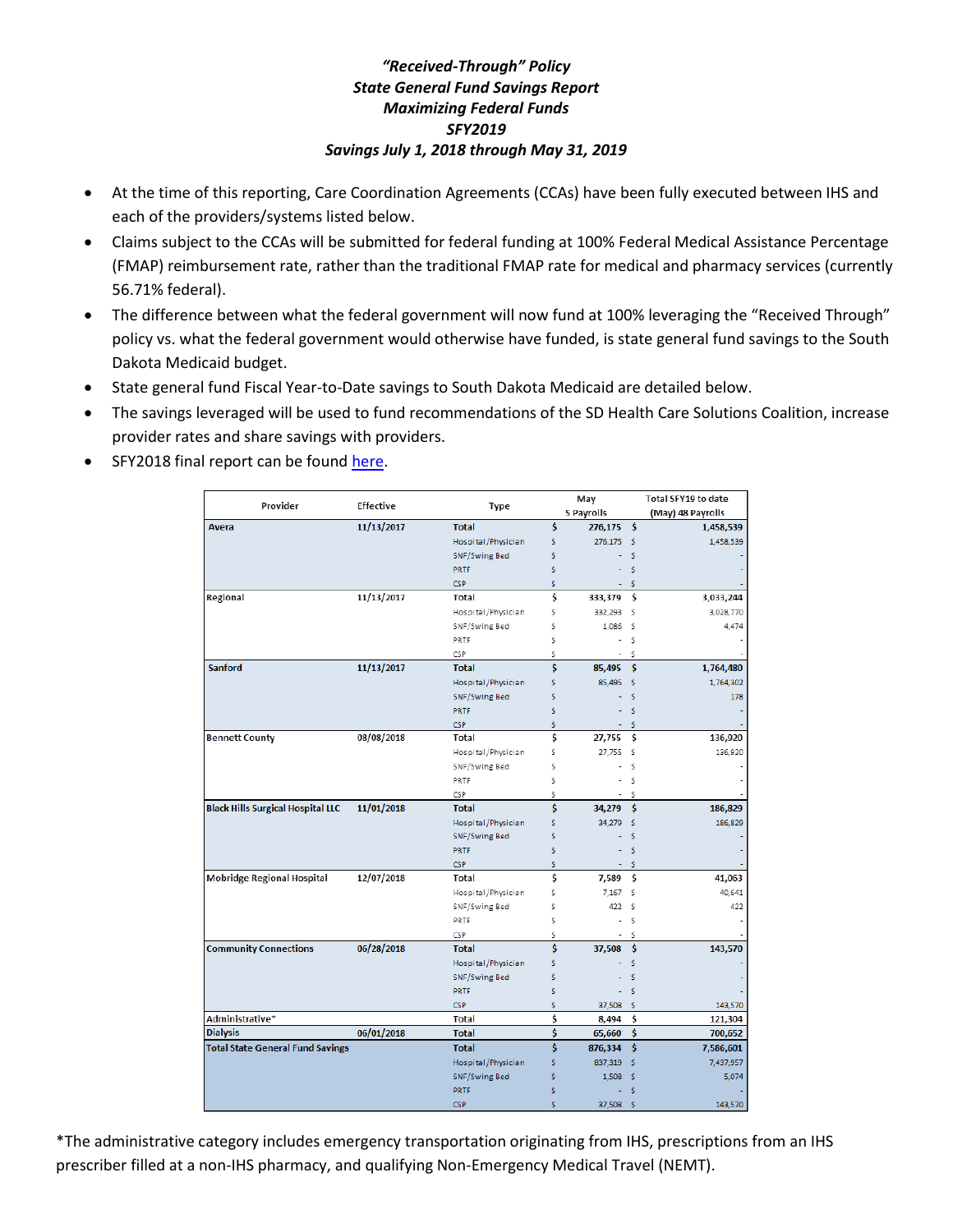## *"Received-Through" Policy State General Fund Savings Report Maximizing Federal Funds SFY2019 Savings July 1, 2018 through May 31, 2019*

- At the time of this reporting, Care Coordination Agreements (CCAs) have been fully executed between IHS and each of the providers/systems listed below.
- Claims subject to the CCAs will be submitted for federal funding at 100% Federal Medical Assistance Percentage (FMAP) reimbursement rate, rather than the traditional FMAP rate for medical and pharmacy services (currently 56.71% federal).
- The difference between what the federal government will now fund at 100% leveraging the "Received Through" policy vs. what the federal government would otherwise have funded, is state general fund savings to the South Dakota Medicaid budget.
- State general fund Fiscal Year-to-Date savings to South Dakota Medicaid are detailed below.
- The savings leveraged will be used to fund recommendations of the SD Health Care Solutions Coalition, increase provider rates and share savings with providers.
- SFY2018 final report can be found [here.](https://dss.sd.gov/docs/medicaid/medicalservices/stats/fmapreports/june2018.pdf)

|                                          | <b>Effective</b> |                    |    | May            |      | Total SFY19 to date |
|------------------------------------------|------------------|--------------------|----|----------------|------|---------------------|
| Provider                                 |                  | <b>Type</b>        |    | 5 Payrolls     |      | (May) 48 Payrolls   |
| <b>Avera</b>                             | 11/13/2017       | <b>Total</b>       | \$ | 276,175 \$     |      | 1,458,539           |
|                                          |                  | Hospital/Physician | Ś  | 276,175        | -\$  | 1,458,539           |
|                                          |                  | SNF/Swing Bed      | Ś  |                | \$   |                     |
|                                          |                  | PRTF               | Ś  |                | Ś    |                     |
|                                          |                  | CSP                | \$ |                | Ś    |                     |
| Regional                                 | 11/13/2017       | Total              | \$ | 333,379        | \$   | 3,033,244           |
|                                          |                  | Hospital/Physician | Ś  | 332,293        | \$   | 3,028,770           |
|                                          |                  | SNF/Swing Bed      | Ś  | 1,086          | \$   | 4,474               |
|                                          |                  | PRTF               | Ś  |                | \$   |                     |
|                                          |                  | <b>CSP</b>         | Ś  |                | Ś    |                     |
| <b>Sanford</b>                           | 11/13/2017       | <b>Total</b>       | \$ | 85,495         | Ŝ    | 1,764,480           |
|                                          |                  | Hospital/Physician | Ś  | 85,495         | Ŝ    | 1,764,302           |
|                                          |                  | SNF/Swing Bed      | Ś  |                | Ś    | 178                 |
|                                          |                  | PRTF               | Ś  |                | Ś    |                     |
|                                          |                  | <b>CSP</b>         | Ś  |                | Ś    |                     |
| <b>Bennett County</b>                    | 08/08/2018       | Total              | \$ | 27,755         | Ŝ    | 136,920             |
|                                          |                  | Hospital/Physician | Ś  | 27,755         | -Ś   | 136,920             |
|                                          |                  | SNF/Swing Bed      | Ś  |                | Ś    |                     |
|                                          |                  | PRTF               | Ś  |                | Ś    |                     |
|                                          |                  | CSP                | Ś  | ٠              | Ś    |                     |
| <b>Black Hills Surgical Hospital LLC</b> | 11/01/2018       | <b>Total</b>       | \$ | 34,279         | \$   | 186,829             |
|                                          |                  | Hospital/Physician | Ś  | 34,279         | Ŝ    | 186,829             |
|                                          |                  | SNF/Swing Bed      | \$ |                | Ś    |                     |
|                                          |                  | PRTF               | Ś  |                | \$   |                     |
|                                          |                  | <b>CSP</b>         | Ś  | $\blacksquare$ | \$   |                     |
| Mobridge Regional Hospital               | 12/07/2018       | Total              | \$ | 7,589          | Ŝ    | 41,063              |
|                                          |                  | Hospital/Physician | Ś  | 7.167          | Ś    | 40,641              |
|                                          |                  | SNF/Swing Bed      | Ś  | 422            | Ŝ    | 422                 |
|                                          |                  | PRTF               | Ś  |                | \$   |                     |
|                                          |                  | CSP                | Ś  |                | Ś    |                     |
| <b>Community Connections</b>             | 06/28/2018       | <b>Total</b>       | Ś  | 37,508         | \$   | 143,570             |
|                                          |                  | Hospital/Physician | Ś  |                | Ś    |                     |
|                                          |                  | SNF/Swing Bed      | Ś  |                | Ś    |                     |
|                                          |                  | PRTF               | Ŝ  |                | Š    |                     |
|                                          |                  | CSP                | Ś  | 37,508 \$      |      | 143,570             |
| Administrative*                          |                  | Total              | Ś  | 8,494          | Ś    | 121,304             |
| <b>Dialysis</b>                          | 06/01/2018       | <b>Total</b>       | \$ | 65,660         | \$   | 700,652             |
| <b>Total State General Fund Savings</b>  |                  | <b>Total</b>       | Ś  | 876,334        | Ŝ    | 7,586,601           |
|                                          |                  | Hospital/Physician | Ś  | 837,319        | Ś    | 7,437,957           |
|                                          |                  | SNF/Swing Bed      | Ś  | 1,508          | Ŝ    | 5,074               |
|                                          |                  | <b>PRTF</b>        | \$ |                | \$   |                     |
|                                          |                  | <b>CSP</b>         | Ś  | 37,508         | - \$ | 143,570             |

\*The administrative category includes emergency transportation originating from IHS, prescriptions from an IHS prescriber filled at a non-IHS pharmacy, and qualifying Non-Emergency Medical Travel (NEMT).